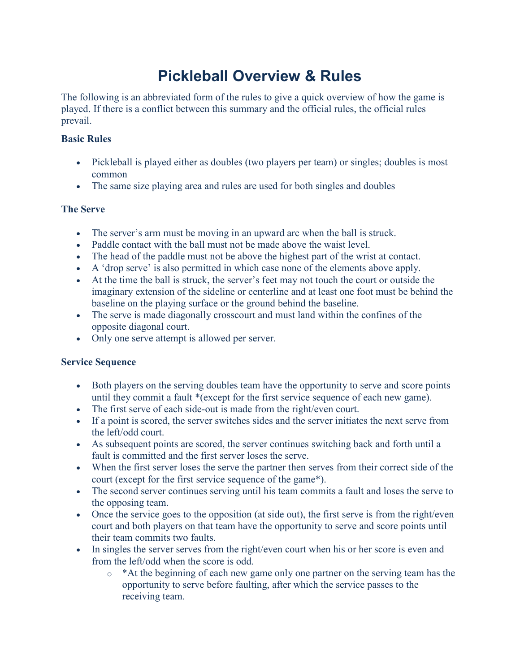# **Pickleball Overview & Rules**

The following is an abbreviated form of the rules to give a quick overview of how the game is played. If there is a conflict between this summary and the official rules, the official rules prevail.

### **Basic Rules**

- Pickleball is played either as doubles (two players per team) or singles; doubles is most common
- The same size playing area and rules are used for both singles and doubles

#### **The Serve**

- The server's arm must be moving in an upward arc when the ball is struck.
- Paddle contact with the ball must not be made above the waist level.
- The head of the paddle must not be above the highest part of the wrist at contact.
- A 'drop serve' is also permitted in which case none of the elements above apply.
- At the time the ball is struck, the server's feet may not touch the court or outside the imaginary extension of the sideline or centerline and at least one foot must be behind the baseline on the playing surface or the ground behind the baseline.
- The serve is made diagonally crosscourt and must land within the confines of the opposite diagonal court.
- Only one serve attempt is allowed per server.

#### **Service Sequence**

- Both players on the serving doubles team have the opportunity to serve and score points until they commit a fault \*(except for the first service sequence of each new game).
- The first serve of each side-out is made from the right/even court.
- If a point is scored, the server switches sides and the server initiates the next serve from the left/odd court.
- As subsequent points are scored, the server continues switching back and forth until a fault is committed and the first server loses the serve.
- When the first server loses the serve the partner then serves from their correct side of the court (except for the first service sequence of the game\*).
- The second server continues serving until his team commits a fault and loses the serve to the opposing team.
- Once the service goes to the opposition (at side out), the first serve is from the right/even court and both players on that team have the opportunity to serve and score points until their team commits two faults.
- In singles the server serves from the right/even court when his or her score is even and from the left/odd when the score is odd.
	- o \*At the beginning of each new game only one partner on the serving team has the opportunity to serve before faulting, after which the service passes to the receiving team.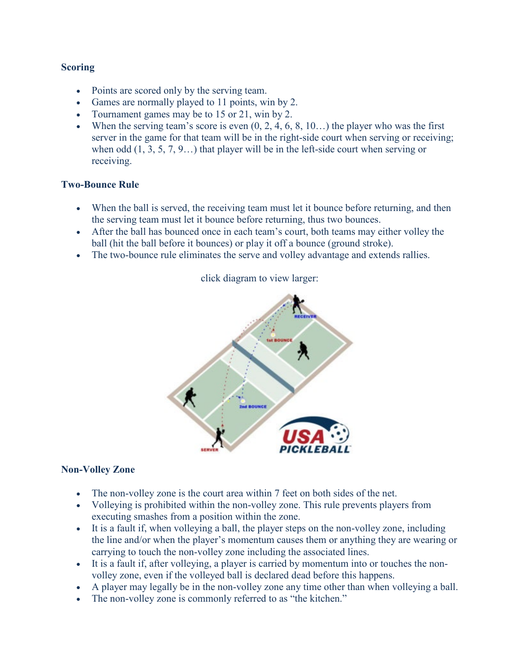#### **Scoring**

- Points are scored only by the serving team.
- Games are normally played to 11 points, win by 2.
- Tournament games may be to 15 or 21, win by 2.
- When the serving team's score is even  $(0, 2, 4, 6, 8, 10...)$  the player who was the first server in the game for that team will be in the right-side court when serving or receiving; when odd (1, 3, 5, 7, 9…) that player will be in the left-side court when serving or receiving.

#### **Two-Bounce Rule**

- When the ball is served, the receiving team must let it bounce before returning, and then the serving team must let it bounce before returning, thus two bounces.
- After the ball has bounced once in each team's court, both teams may either volley the ball (hit the ball before it bounces) or play it off a bounce (ground stroke).
- The two-bounce rule eliminates the serve and volley advantage and extends rallies.



#### click diagram to view larger:

#### **Non-Volley Zone**

- The non-volley zone is the court area within 7 feet on both sides of the net.
- Volleying is prohibited within the non-volley zone. This rule prevents players from executing smashes from a position within the zone.
- It is a fault if, when volleying a ball, the player steps on the non-volley zone, including the line and/or when the player's momentum causes them or anything they are wearing or carrying to touch the non-volley zone including the associated lines.
- It is a fault if, after volleying, a player is carried by momentum into or touches the nonvolley zone, even if the volleyed ball is declared dead before this happens.
- A player may legally be in the non-volley zone any time other than when volleying a ball.
- The non-volley zone is commonly referred to as "the kitchen."